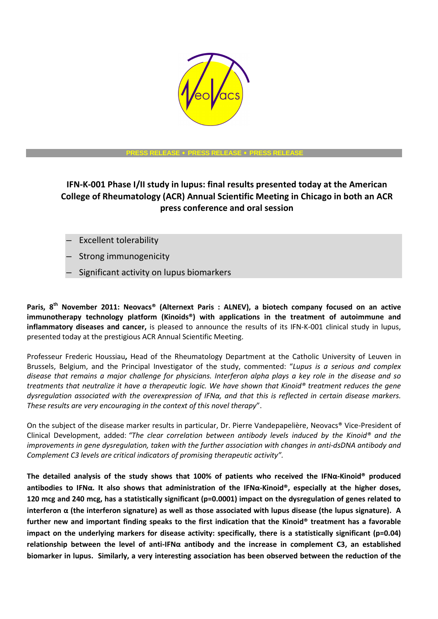

#### **PRESS RELEASE** • **PRESS RELEASE** • **PRESS RELEASE**

# **IFN-K-001 Phase I/II study in lupus: final results presented today at the American College of Rheumatology (ACR) Annual Scientific Meeting in Chicago in both an ACR press conference and oral session**

- Excellent tolerability
- Strong immunogenicity
- Significant activity on lupus biomarkers

**Paris, 8th November 2011: Neovacs® (Alternext Paris : ALNEV), a biotech company focused on an active immunotherapy technology platform (Kinoids®) with applications in the treatment of autoimmune and inflammatory diseases and cancer,** is pleased to announce the results of its IFN-K-001 clinical study in lupus, presented today at the prestigious ACR Annual Scientific Meeting.

Professeur Frederic Houssiau**,** Head of the Rheumatology Department at the Catholic University of Leuven in Brussels, Belgium, and the Principal Investigator of the study, commented: "*Lupus is a serious and complex disease that remains a major challenge for physicians. Interferon alpha plays a key role in the disease and so treatments that neutralize it have a therapeutic logic. We have shown that Kinoid® treatment reduces the gene dysregulation associated with the overexpression of IFNα, and that this is reflected in certain disease markers. These results are very encouraging in the context of this novel therapy*".

On the subject of the disease marker results in particular, Dr. Pierre Vandepapelière, Neovacs® Vice-President of Clinical Development, added: *"The clear correlation between antibody levels induced by the Kinoid® and the improvements in gene dysregulation, taken with the further association with changes in anti-dsDNA antibody and Complement C3 levels are critical indicators of promising therapeutic activity".* 

**The detailed analysis of the study shows that 100% of patients who received the IFNα-Kinoid® produced antibodies to IFNα. It also shows that administration of the IFNα-Kinoid®, especially at the higher doses, 120 mcg and 240 mcg, has a statistically significant (p=0.0001) impact on the dysregulation of genes related to interferon α (the interferon signature) as well as those associated with lupus disease (the lupus signature). A further new and important finding speaks to the first indication that the Kinoid® treatment has a favorable**  impact on the underlying markers for disease activity: specifically, there is a statistically significant (p=0.04) **relationship between the level of anti-IFNα antibody and the increase in complement C3, an established biomarker in lupus. Similarly, a very interesting association has been observed between the reduction of the**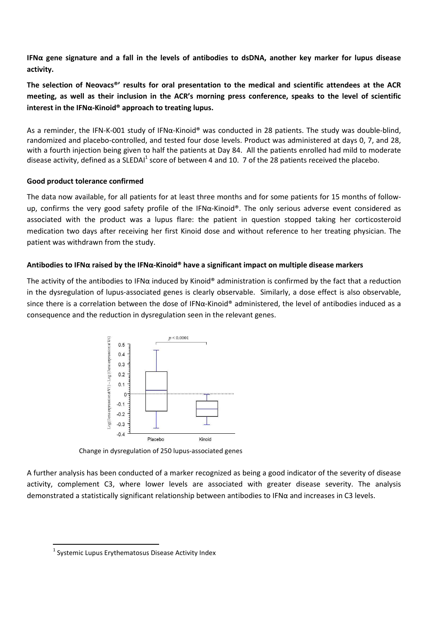**IFNα gene signature and a fall in the levels of antibodies to dsDNA, another key marker for lupus disease activity.** 

**The selection of Neovacs®' results for oral presentation to the medical and scientific attendees at the ACR meeting, as well as their inclusion in the ACR's morning press conference, speaks to the level of scientific interest in the IFNα-Kinoid® approach to treating lupus.** 

As a reminder, the IFN-K-001 study of IFNα-Kinoid® was conducted in 28 patients. The study was double-blind, randomized and placebo-controlled, and tested four dose levels. Product was administered at days 0, 7, and 28, with a fourth injection being given to half the patients at Day 84. All the patients enrolled had mild to moderate disease activity, defined as a SLEDAI<sup>1</sup> score of between 4 and 10. 7 of the 28 patients received the placebo.

## **Good product tolerance confirmed**

The data now available, for all patients for at least three months and for some patients for 15 months of followup, confirms the very good safety profile of the IFNα-Kinoid®. The only serious adverse event considered as associated with the product was a lupus flare: the patient in question stopped taking her corticosteroid medication two days after receiving her first Kinoid dose and without reference to her treating physician. The patient was withdrawn from the study.

# **Antibodies to IFNα raised by the IFNα-Kinoid® have a significant impact on multiple disease markers**

The activity of the antibodies to IFNα induced by Kinoid® administration is confirmed by the fact that a reduction in the dysregulation of lupus-associated genes is clearly observable. Similarly, a dose effect is also observable, since there is a correlation between the dose of IFNα-Kinoid® administered, the level of antibodies induced as a consequence and the reduction in dysregulation seen in the relevant genes.



Change in dysregulation of 250 lupus-associated genes

A further analysis has been conducted of a marker recognized as being a good indicator of the severity of disease activity, complement C3, where lower levels are associated with greater disease severity. The analysis demonstrated a statistically significant relationship between antibodies to IFNα and increases in C3 levels.

l

 $<sup>1</sup>$  Systemic Lupus Erythematosus Disease Activity Index</sup>